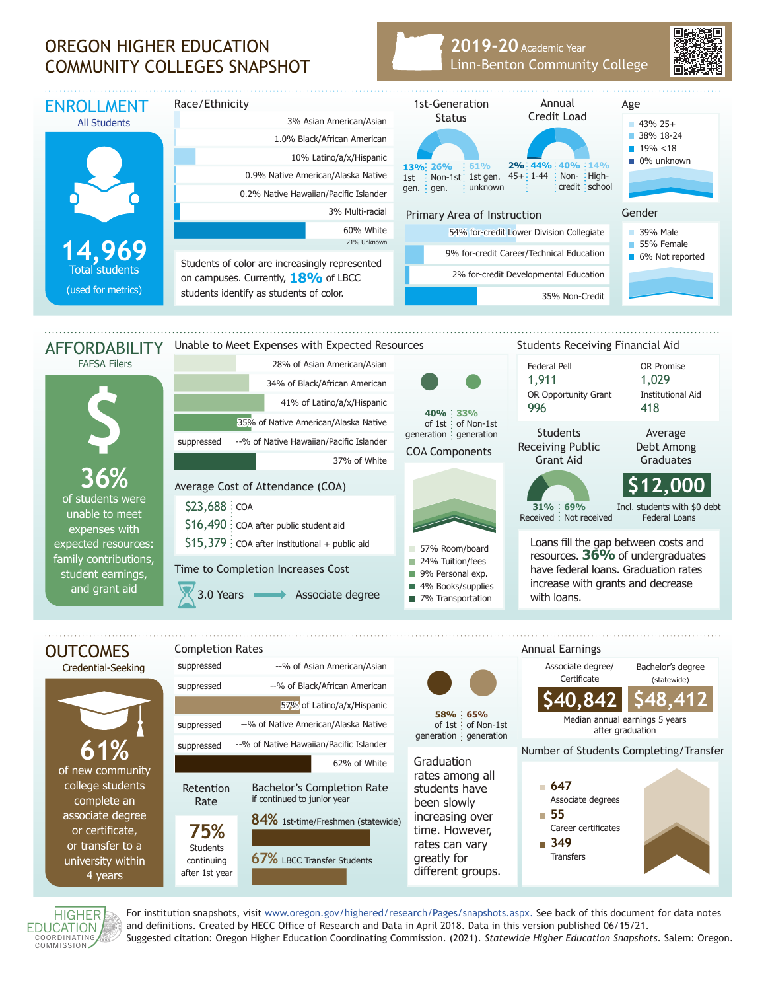## OREGON HIGHER EDUCATION COMMUNITY COLLEGES SNAPSHOT

## **2019-20** Academic Year Linn-Benton Community College





For institution snapshots, visit www.oregon.gov/highered/research/Pages/snapshots.aspx. See back of this document for data notes and definitions. Created by HECC Office of Research and Data in April 2018. Data in this version published 06/15/21. Suggested citation: Oregon Higher Education Coordinating Commission. (2021). *Statewide Higher Education Snapshots*. Salem: Oregon.